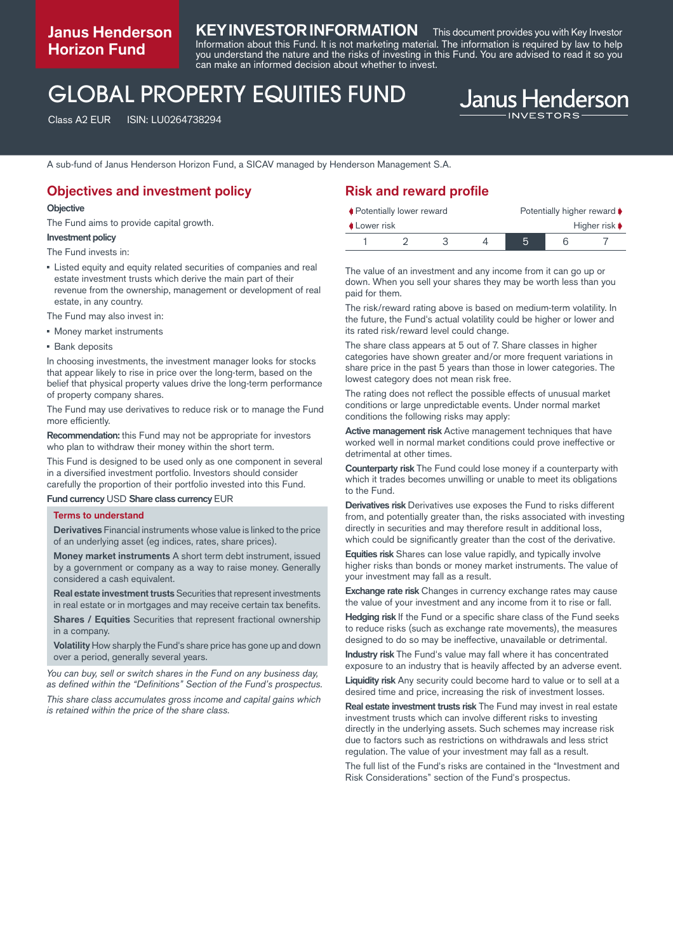## **Janus Henderson Horizon Fund**

## **KEY INVESTOR INFORMATION** This document provides you with Key Investor

Information about this Fund. It is not marketing material. The information is required by law to help you understand the nature and the risks of investing in this Fund. You are advised to read it so you can make an informed decision about whether to invest.

## GLOBAL PROPERTY EQUITIES FUND

Class A2 EUR ISIN: LU0264738294

# **Janus Henderson**

A sub-fund of Janus Henderson Horizon Fund, a SICAV managed by Henderson Management S.A.

## **Objectives and investment policy**

#### **Objective**

The Fund aims to provide capital growth.

#### **Investment policy**

The Fund invests in:

- Listed equity and equity related securities of companies and real estate investment trusts which derive the main part of their revenue from the ownership, management or development of real estate, in any country.
- The Fund may also invest in:
- **Money market instruments**
- Bank deposits

In choosing investments, the investment manager looks for stocks that appear likely to rise in price over the long-term, based on the belief that physical property values drive the long-term performance of property company shares.

The Fund may use derivatives to reduce risk or to manage the Fund more efficiently.

**Recommendation:** this Fund may not be appropriate for investors who plan to withdraw their money within the short term.

This Fund is designed to be used only as one component in several in a diversified investment portfolio. Investors should consider carefully the proportion of their portfolio invested into this Fund.

**Fund currency** USD **Share class currency** EUR

#### **Terms to understand**

**Derivatives** Financial instruments whose value is linked to the price of an underlying asset (eg indices, rates, share prices).

**Money market instruments** A short term debt instrument, issued by a government or company as a way to raise money. Generally considered a cash equivalent.

**Real estate investment trusts**Securities that represent investments in real estate or in mortgages and may receive certain tax benefits.

**Shares / Equities** Securities that represent fractional ownership in a company.

**Volatility** How sharply the Fund's share price has gone up and down over a period, generally several years.

*You can buy, sell or switch shares in the Fund on any business day, as defined within the "Definitions" Section of the Fund's prospectus.*

*This share class accumulates gross income and capital gains which is retained within the price of the share class.*

## **Risk and reward profile**

| ♦ Potentially lower reward |  |  |  | Potentially higher reward $\blacktriangleright$ |  |                                   |
|----------------------------|--|--|--|-------------------------------------------------|--|-----------------------------------|
| <b>↓Lower risk</b>         |  |  |  |                                                 |  | Higher risk $\blacktriangleright$ |
|                            |  |  |  | 5                                               |  |                                   |

The value of an investment and any income from it can go up or down. When you sell your shares they may be worth less than you paid for them.

The risk/reward rating above is based on medium-term volatility. In the future, the Fund's actual volatility could be higher or lower and its rated risk/reward level could change.

The share class appears at 5 out of 7. Share classes in higher categories have shown greater and/or more frequent variations in share price in the past 5 years than those in lower categories. The lowest category does not mean risk free.

The rating does not reflect the possible effects of unusual market conditions or large unpredictable events. Under normal market conditions the following risks may apply:

**Active management risk** Active management techniques that have worked well in normal market conditions could prove ineffective or detrimental at other times.

**Counterparty risk** The Fund could lose money if a counterparty with which it trades becomes unwilling or unable to meet its obligations to the Fund.

**Derivatives risk** Derivatives use exposes the Fund to risks different from, and potentially greater than, the risks associated with investing directly in securities and may therefore result in additional loss, which could be significantly greater than the cost of the derivative.

**Equities risk** Shares can lose value rapidly, and typically involve higher risks than bonds or money market instruments. The value of your investment may fall as a result.

**Exchange rate risk** Changes in currency exchange rates may cause the value of your investment and any income from it to rise or fall.

**Hedging risk** If the Fund or a specific share class of the Fund seeks to reduce risks (such as exchange rate movements), the measures designed to do so may be ineffective, unavailable or detrimental.

**Industry risk** The Fund's value may fall where it has concentrated exposure to an industry that is heavily affected by an adverse event.

**Liquidity risk** Any security could become hard to value or to sell at a desired time and price, increasing the risk of investment losses.

**Real estate investment trusts risk** The Fund may invest in real estate investment trusts which can involve different risks to investing directly in the underlying assets. Such schemes may increase risk due to factors such as restrictions on withdrawals and less strict regulation. The value of your investment may fall as a result.

The full list of the Fund's risks are contained in the "Investment and Risk Considerations" section of the Fund's prospectus.